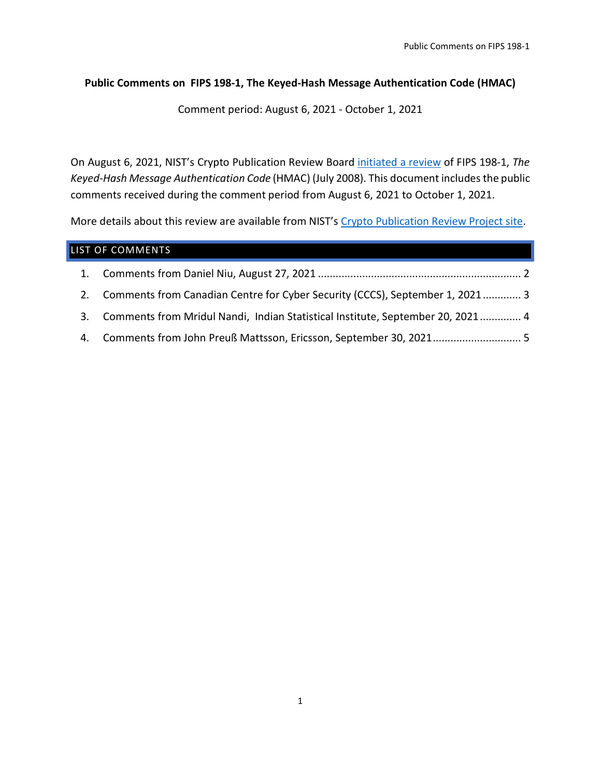#### **Public Comments on FIPS 198-1, The Keyed-Hash Message Authentication Code (HMAC)**

Comment period: August 6, 2021 - October 1, 2021

On August 6, 2021, NIST's Crypto Publication Review Board [initiated a review](https://csrc.nist.gov/news/2021/call-for-comments-fips-198-1-hash-pubs-and-others) of FIPS 198-1, *The Keyed-Hash Message Authentication Code* (HMAC) (July 2008). This document includes the public comments received during the comment period from August 6, 2021 to October 1, 2021.

More details about this review are available from NIST's [Crypto Publication Review Project site.](https://csrc.nist.gov/Projects/crypto-publication-review-project)

|    | LIST OF COMMENTS                                                                |
|----|---------------------------------------------------------------------------------|
|    |                                                                                 |
|    | 2. Comments from Canadian Centre for Cyber Security (CCCS), September 1, 2021 3 |
| 3. | Comments from Mridul Nandi, Indian Statistical Institute, September 20, 2021 4  |
|    |                                                                                 |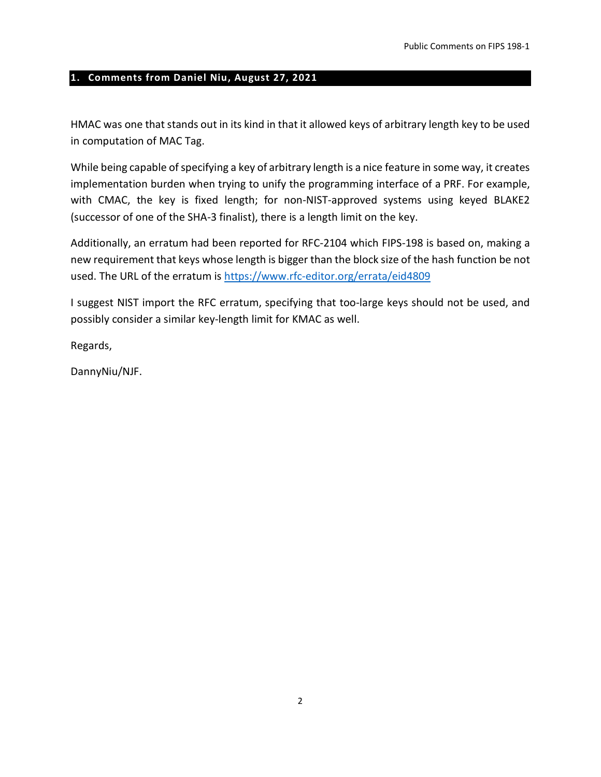#### <span id="page-1-0"></span>**1. Comments from Daniel Niu, August 27, 2021**

HMAC was one that stands out in its kind in that it allowed keys of arbitrary length key to be used in computation of MAC Tag.

While being capable of specifying a key of arbitrary length is a nice feature in some way, it creates implementation burden when trying to unify the programming interface of a PRF. For example, with CMAC, the key is fixed length; for non-NIST-approved systems using keyed BLAKE2 (successor of one of the SHA-3 finalist), there is a length limit on the key.

Additionally, an erratum had been reported for RFC-2104 which FIPS-198 is based on, making a new requirement that keys whose length is bigger than the block size of the hash function be not used. The URL of the erratum is<https://www.rfc-editor.org/errata/eid4809>

I suggest NIST import the RFC erratum, specifying that too-large keys should not be used, and possibly consider a similar key-length limit for KMAC as well.

Regards,

DannyNiu/NJF.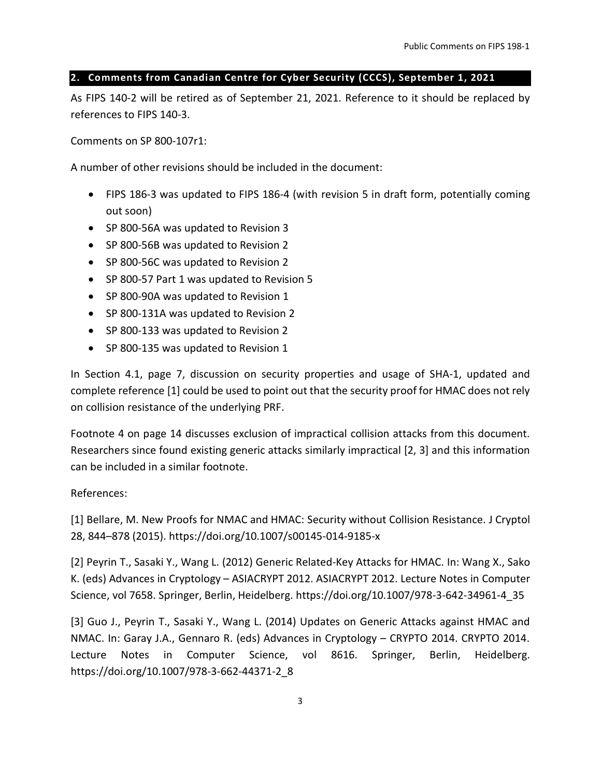### <span id="page-2-0"></span>**2. Comments from Canadian Centre for Cyber Security (CCCS), September 1, 2021**

As FIPS 140-2 will be retired as of September 21, 2021. Reference to it should be replaced by references to FIPS 140-3.

Comments on SP 800-107r1:

A number of other revisions should be included in the document:

- FIPS 186-3 was updated to FIPS 186-4 (with revision 5 in draft form, potentially coming out soon)
- SP 800-56A was updated to Revision 3
- SP 800-56B was updated to Revision 2
- SP 800-56C was updated to Revision 2
- SP 800-57 Part 1 was updated to Revision 5
- SP 800-90A was updated to Revision 1
- SP 800-131A was updated to Revision 2
- SP 800-133 was updated to Revision 2
- SP 800-135 was updated to Revision 1

In Section 4.1, page 7, discussion on security properties and usage of SHA-1, updated and complete reference [1] could be used to point out that the security proof for HMAC does not rely on collision resistance of the underlying PRF.

Footnote 4 on page 14 discusses exclusion of impractical collision attacks from this document. Researchers since found existing generic attacks similarly impractical [2, 3] and this information can be included in a similar footnote.

## References:

[1] Bellare, M. New Proofs for NMAC and HMAC: Security without Collision Resistance. J Cryptol 28, 844–878 (2015). https://doi.org/10.1007/s00145-014-9185-x

[2] Peyrin T., Sasaki Y., Wang L. (2012) Generic Related-Key Attacks for HMAC. In: Wang X., Sako K. (eds) Advances in Cryptology – ASIACRYPT 2012. ASIACRYPT 2012. Lecture Notes in Computer Science, vol 7658. Springer, Berlin, Heidelberg. https://doi.org/10.1007/978-3-642-34961-4\_35

[3] Guo J., Peyrin T., Sasaki Y., Wang L. (2014) Updates on Generic Attacks against HMAC and NMAC. In: Garay J.A., Gennaro R. (eds) Advances in Cryptology – CRYPTO 2014. CRYPTO 2014. Lecture Notes in Computer Science, vol 8616. Springer, Berlin, Heidelberg. https://doi.org/10.1007/978-3-662-44371-2\_8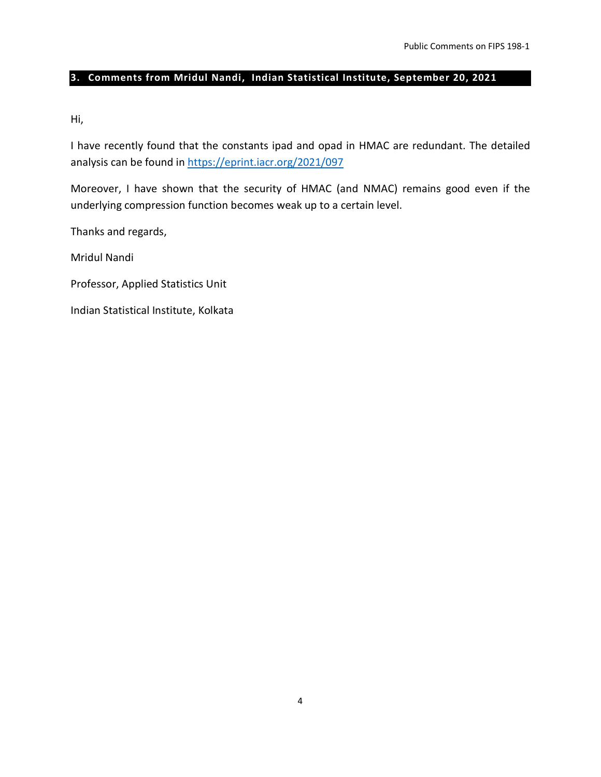## <span id="page-3-0"></span>**3. Comments from Mridul Nandi, Indian Statistical Institute, September 20, 2021**

Hi,

I have recently found that the constants ipad and opad in HMAC are redundant. The detailed analysis can be found in <https://eprint.iacr.org/2021/097>

Moreover, I have shown that the security of HMAC (and NMAC) remains good even if the underlying compression function becomes weak up to a certain level.

Thanks and regards,

Mridul Nandi

Professor, Applied Statistics Unit

Indian Statistical Institute, Kolkata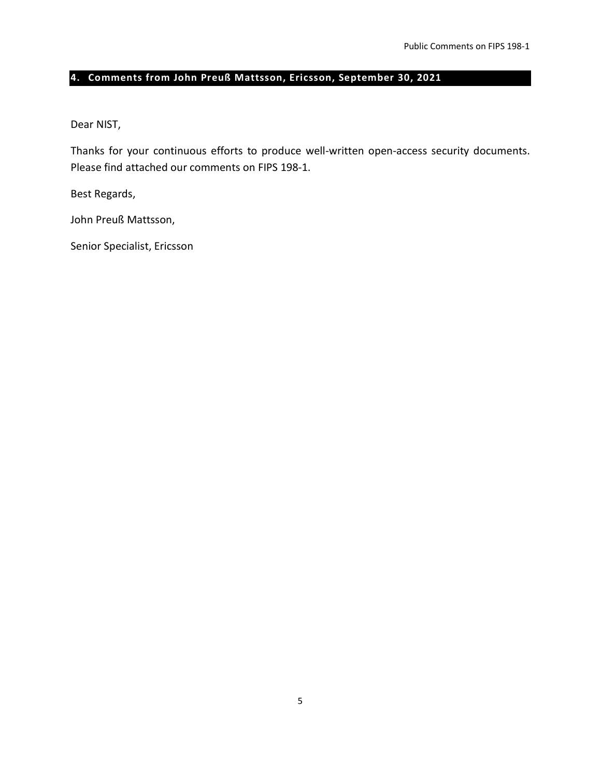# <span id="page-4-0"></span>**4. Comments from John Preuß Mattsson, Ericsson, September 30, 2021**

Dear NIST,

Thanks for your continuous efforts to produce well-written open-access security documents. Please find attached our comments on FIPS 198-1.

Best Regards,

John Preuß Mattsson,

Senior Specialist, Ericsson